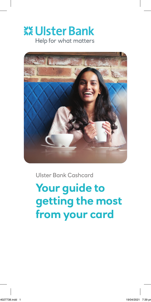# **XX Ulster Bank** Help for what matters



Ulster Bank Cashcard

**Your guide to getting the most from your card**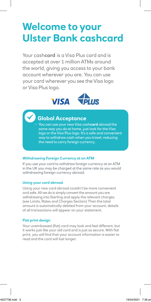# **Welcome to your Ulster Bank cashcard**

Your cash**card** is a Visa Plus card and is accepted at over 1 million ATMs around the world, giving you access to your bank account wherever you are. You can use your card wherever you see the Visa logo or Visa Plus logo.



# **Global Acceptance**

• You can use your new Visa cash**card** abroad the same way you do at home, just look for the Visa logo or the Visa Plus logo. It's a safe and convenient way to withdraw cash when you travel, reducing the need to carry foreign currency.

#### **Withdrawing Foreign Currency at an ATM**

If you use your card to withdraw foreign currency at an ATM in the UK you may be charged at the same rate as you would withdrawing foreign currency abroad.

#### **Using your card abroad**

Using your new card abroad couldn't be more convenient and safe. All we do is simply convert the amount you are withdrawing into Sterling and apply the relevant charges. (see Limits, Rates and Charges Section) Then the total amount is automatically debited from your account, details of all transactions will appear on your statement.

#### **Flat print design**

Your unembossed (flat) card may look and feel different, but it works just like your old card and is just as secure. With flat print, you will find that your account information is easier to read and the card will last longer.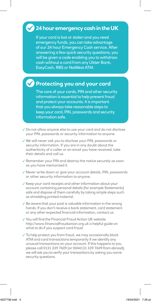# **24 hour emergency cash in the UK**

If your card is lost or stolen and you need emergency funds, you can take advantage of our 24 hour Emergency Cash service. After answering a few quick security questions, you will be given a code enabling you to withdraw cash without a card from any Ulster Bank, EasyCash, RBS or NatWest ATM.

# **Protecting you and your card**

The care of your cards, PIN and other security information is essential to help prevent fraud and protect your accounts. It is important that you always take reasonable steps to keep your card, PIN, passwords and security information safe.

- ✓ Do not allow anyone else to use your card and do not disclose your PIN, passwords or security information to anyone.
- ✓ We will never ask you to disclose your PIN, passwords or security information. If you are in any doubt about the authenticity of a caller or an email you have received, take their details and call us.
- ✓ Remember your PIN and destroy the notice securely as soon as you have memorised it.
- ✓ Never write down or give your account details, PIN, passwords or other security information to anyone.
- ✓ Keep your card receipts and other information about your account containing personal details (for example Statements) safe and dispose of them carefully by taking simple steps such as shredding printed material.
- ✓ Be aware that your post is valuable information in the wrong hands. If you don't receive a bank statement, card statement or any other expected financial information, contact us.
- ✓ You will find the Financial Fraud Action UK website http://[www.financialfraudaction.org.uk](http://www.financialfraudaction.org.uk) a helpful guide on what to do if you suspect card fraud.
- ✓ To help protect you from fraud, we may occasionally block ATM and card transactions temporarily if we identify any unusual transactions on your account. If this happens to you please call 0131 339 7609 (or 0044131 339 7609 from abroad), we will ask you to verify your transactions by asking you some security questions.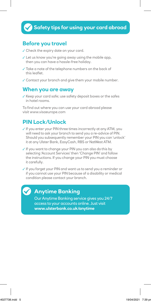## **Before you travel**

- ✓ Check the expiry date on your card.
- $\checkmark$  Let us know you're going away using the mobile app, then you can have a hassle-free holiday.
- ✓ Take a note of the telephone numbers on the back of this leaflet.
- ✓ Contact your branch and give them your mobile number.

#### **When you are away**

✓ Keep your card safe; use safety deposit boxes or the safes in hotel rooms.

To find out where you can use your card abroad please visit [www.visaeurope.com](http://www.visaeurope.com)

### **PIN Lock/Unlock**

- ✓ If you enter your PIN three times incorrectly at any ATM, you will need to ask your branch to send you a re-advice of PIN. Should you subsequently remember your PIN you can 'unlock' it at any Ulster Bank, EasyCash, RBS or NatWest ATM.
- ✓ If you want to change your PIN you can also do this by selecting 'Account Services' then 'Change PIN' and follow the instructions. If you change your PIN you must choose it carefully.

✓ If you forget your PIN and want us to send you a reminder or if you cannot use your PIN because of a disability or medical condition please contact your branch.



## **Anytime Banking**

Our Anytime Banking service gives you 24/7 access to your accounts online. Just visit **[www.ulsterbank.co.uk/anytime](http://www.ulsterbank.co.uk/anytime)**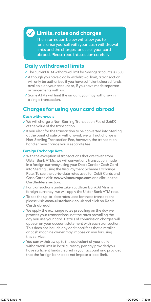### **Limits, rates and charges**

The information below will allow you to familiarise yourself with your cash withdrawal limits and the charges for use of your card abroad. Please read this section carefully.

## **Daily withdrawal limits**

- ✓ The current ATM withdrawal limit for Savings accounts is £500.
- ✓ Although you have a daily withdrawal limit, a transaction will only be authorised if you have sufficient cleared funds available on your account or, if you have made separate arrangements with us.
- ✓ Some ATMs will limit the amount you may withdraw in a single transaction.

## **Charges for using your card abroad**

#### **Cash withdrawals**

- ✓ We will charge a Non-Sterling Transaction Fee of 2.65% of the value of the transaction.
- ✓ If you elect for the transaction to be converted into Sterling at the point of sale or withdrawal, we will not charge a Non-Sterling Transaction Fee, however, the transaction handler may charge you a separate fee.

#### **Foreign Exchange Rate**

- ✓ With the exception of transactions that are taken from Ulster Bank ATMs, we will convert any transaction made in a foreign currency using your Debit Card or Cash Card into Sterling using the Visa Payment Scheme Exchange Rate. To see the up-to-date rates used for Debit Cards and Cash Cards visit: **[www.visaeurope.com](http://www.visaeurope.com)** and click on the **Cardholders** section.
- ✓ For transactions undertaken at Ulster Bank ATMs in a foreign currency, we will apply the Ulster Bank ATM rate.
- ✓ To see the up-to-date rates used for these transactions please visit **[www.ulsterbank.co.uk](http://www.ulsterbank.co.uk)** and click on **Debit Cards abroad**.
- ✓ We apply the exchange rates prevailing on the day we process your transactions, not the rates prevailing the day you use your card. Details of commission charges will appear on your account statement with each transaction. This does not include any additional fees that a retailer or cash machine owner may impose on you for using this service.
- ✓ You can withdraw up to the equivalent of your daily withdrawal limit in local currency per day providedyou have sufficient funds cleared in your account and provided that the foreign bank does not impose a local limit.